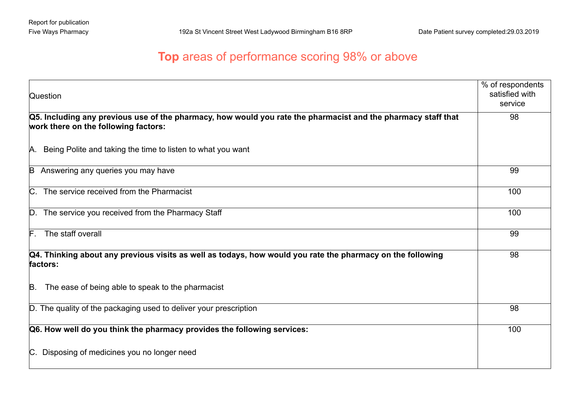## **Top** areas of performance scoring 98% or above

| <b>Question</b>                                                                                                                                       | % of respondents<br>satisfied with<br>service |
|-------------------------------------------------------------------------------------------------------------------------------------------------------|-----------------------------------------------|
| Q5. Including any previous use of the pharmacy, how would you rate the pharmacist and the pharmacy staff that<br>work there on the following factors: | 98                                            |
| A. Being Polite and taking the time to listen to what you want                                                                                        |                                               |
| Answering any queries you may have<br>B                                                                                                               | 99                                            |
| C. The service received from the Pharmacist                                                                                                           | 100                                           |
| D. The service you received from the Pharmacy Staff                                                                                                   | 100                                           |
| $\mathsf{F}$ . The staff overall                                                                                                                      | 99                                            |
| Q4. Thinking about any previous visits as well as todays, how would you rate the pharmacy on the following<br>factors:                                | 98                                            |
| The ease of being able to speak to the pharmacist<br>B.                                                                                               |                                               |
| D. The quality of the packaging used to deliver your prescription                                                                                     | 98                                            |
| Q6. How well do you think the pharmacy provides the following services:                                                                               | 100                                           |
| C. Disposing of medicines you no longer need                                                                                                          |                                               |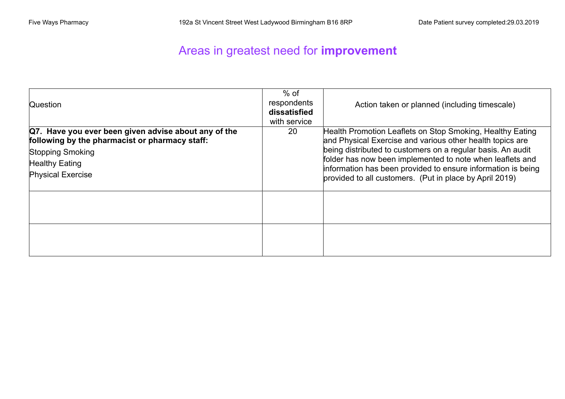## Areas in greatest need for **improvement**

| Question                                                                                                                                                                        | $%$ of<br>respondents<br>dissatisfied<br>with service | Action taken or planned (including timescale)                                                                                                                                                                                                                                                                                                                                 |
|---------------------------------------------------------------------------------------------------------------------------------------------------------------------------------|-------------------------------------------------------|-------------------------------------------------------------------------------------------------------------------------------------------------------------------------------------------------------------------------------------------------------------------------------------------------------------------------------------------------------------------------------|
| Q7. Have you ever been given advise about any of the<br>following by the pharmacist or pharmacy staff:<br>Stopping Smoking<br><b>Healthy Eating</b><br><b>Physical Exercise</b> | 20                                                    | Health Promotion Leaflets on Stop Smoking, Healthy Eating<br>and Physical Exercise and various other health topics are<br>being distributed to customers on a regular basis. An audit<br>folder has now been implemented to note when leaflets and<br>information has been provided to ensure information is being<br>provided to all customers. (Put in place by April 2019) |
|                                                                                                                                                                                 |                                                       |                                                                                                                                                                                                                                                                                                                                                                               |